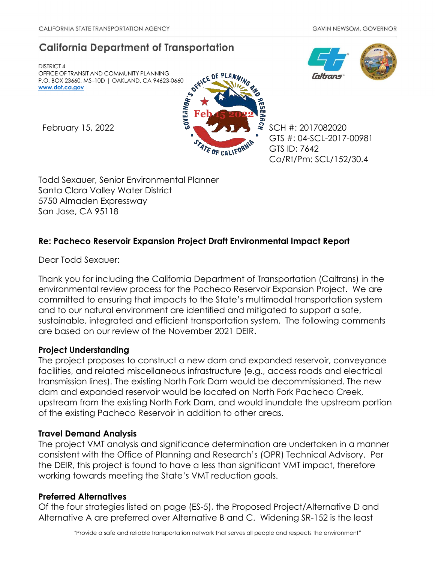# **California Department of Transportation**

DISTRICT 4 OFFICE OF TRANSIT AND COMMUNITY PLANNING P.O. BOX 23660, MS–10D | OAKLAND, CA 94623-0660 **[www.dot.ca.gov](http://www.dot.ca.gov/)**



GTS #: 04-SCL-2017-00981 GTS ID: 7642 Co/Rt/Pm: SCL/152/30.4

Todd Sexauer, Senior Environmental Planner Santa Clara Valley Water District 5750 Almaden Expressway San Jose, CA 95118

# **Re: Pacheco Reservoir Expansion Project Draft Environmental Impact Report**

Dear Todd Sexauer:

Thank you for including the California Department of Transportation (Caltrans) in the environmental review process for the Pacheco Reservoir Expansion Project. We are committed to ensuring that impacts to the State's multimodal transportation system and to our natural environment are identified and mitigated to support a safe, sustainable, integrated and efficient transportation system. The following comments are based on our review of the November 2021 DEIR.

## **Project Understanding**

The project proposes to construct a new dam and expanded reservoir, conveyance facilities, and related miscellaneous infrastructure (e.g., access roads and electrical transmission lines). The existing North Fork Dam would be decommissioned. The new dam and expanded reservoir would be located on North Fork Pacheco Creek, upstream from the existing North Fork Dam, and would inundate the upstream portion of the existing Pacheco Reservoir in addition to other areas.

# **Travel Demand Analysis**

The project VMT analysis and significance determination are undertaken in a manner consistent with the Office of Planning and Research's (OPR) Technical Advisory. Per the DEIR, this project is found to have a less than significant VMT impact, therefore working towards meeting the State's VMT reduction goals.

## **Preferred Alternatives**

Of the four strategies listed on page (ES-5), the Proposed Project/Alternative D and Alternative A are preferred over Alternative B and C. Widening SR-152 is the least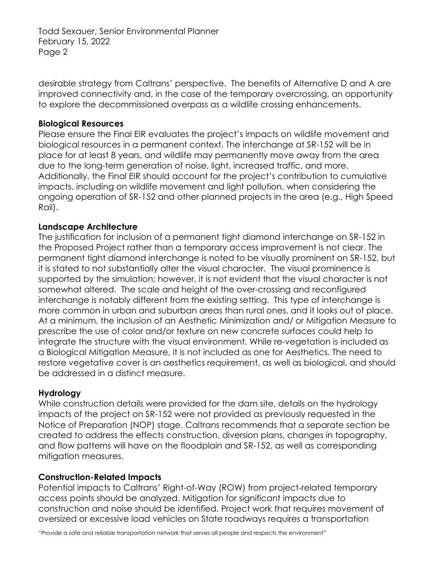Todd Sexauer, Senior Environmental Planner February 15, 2022 Page 2

desirable strategy from Caltrans' perspective. The benefits of Alternative D and A are improved connectivity and, in the case of the temporary overcrossing, an opportunity to explore the decommissioned overpass as a wildlife crossing enhancements.

## **Biological Resources**

Please ensure the Final EIR evaluates the project's impacts on wildlife movement and biological resources in a permanent context. The interchange at SR-152 will be in place for at least 8 years, and wildlife may permanently move away from the area due to the long-term generation of noise, light, increased traffic, and more. Additionally, the Final EIR should account for the project's contribution to cumulative impacts, including on wildlife movement and light pollution, when considering the ongoing operation of SR-152 and other planned projects in the area (e.g., High Speed Rail).

## **Landscape Architecture**

The justification for inclusion of a permanent tight diamond interchange on SR-152 in the Proposed Project rather than a temporary access improvement is not clear. The permanent tight diamond interchange is noted to be visually prominent on SR-152, but it is stated to not substantially alter the visual character. The visual prominence is supported by the simulation; however, it is not evident that the visual character is not somewhat altered. The scale and height of the over-crossing and reconfigured interchange is notably different from the existing setting. This type of interchange is more common in urban and suburban areas than rural ones, and it looks out of place. At a minimum, the inclusion of an Aesthetic Minimization and/ or Mitigation Measure to prescribe the use of color and/or texture on new concrete surfaces could help to integrate the structure with the visual environment. While re-vegetation is included as a Biological Mitigation Measure, it is not included as one for Aesthetics. The need to restore vegetative cover is an aesthetics requirement, as well as biological, and should be addressed in a distinct measure.

#### **Hydrology**

While construction details were provided for the dam site, details on the hydrology impacts of the project on SR-152 were not provided as previously requested in the Notice of Preparation (NOP) stage. Caltrans recommends that a separate section be created to address the effects construction, diversion plans, changes in topography, and flow patterns will have on the floodplain and SR-152, as well as corresponding mitigation measures.

## **Construction-Related Impacts**

Potential impacts to Caltrans' Right-of-Way (ROW) from project-related temporary access points should be analyzed. Mitigation for significant impacts due to construction and noise should be identified. Project work that requires movement of oversized or excessive load vehicles on State roadways requires a transportation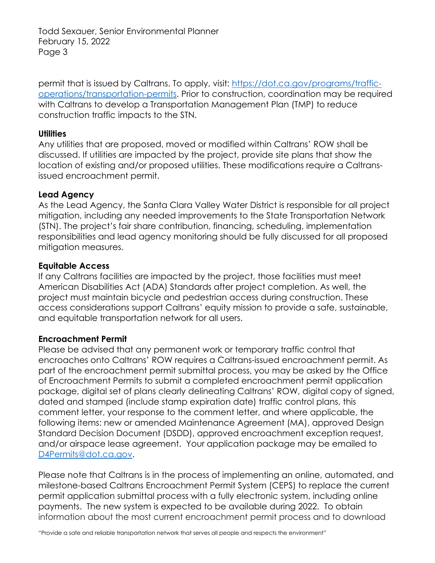Todd Sexauer, Senior Environmental Planner February 15, 2022 Page 3

permit that is issued by Caltrans. To apply, visit: [https://dot.ca.gov/programs/traffic](https://dot.ca.gov/programs/traffic-operations/transportation-permits)[operations/transportation-permits.](https://dot.ca.gov/programs/traffic-operations/transportation-permits) Prior to construction, coordination may be required with Caltrans to develop a Transportation Management Plan (TMP) to reduce construction traffic impacts to the STN.

## **Utilities**

Any utilities that are proposed, moved or modified within Caltrans' ROW shall be discussed. If utilities are impacted by the project, provide site plans that show the location of existing and/or proposed utilities. These modifications require a Caltransissued encroachment permit.

## **Lead Agency**

As the Lead Agency, the Santa Clara Valley Water District is responsible for all project mitigation, including any needed improvements to the State Transportation Network (STN). The project's fair share contribution, financing, scheduling, implementation responsibilities and lead agency monitoring should be fully discussed for all proposed mitigation measures.

## **Equitable Access**

If any Caltrans facilities are impacted by the project, those facilities must meet American Disabilities Act (ADA) Standards after project completion. As well, the project must maintain bicycle and pedestrian access during construction. These access considerations support Caltrans' equity mission to provide a safe, sustainable, and equitable transportation network for all users.

## **Encroachment Permit**

Please be advised that any permanent work or temporary traffic control that encroaches onto Caltrans' ROW requires a Caltrans-issued encroachment permit. As part of the encroachment permit submittal process, you may be asked by the Office of Encroachment Permits to submit a completed encroachment permit application package, digital set of plans clearly delineating Caltrans' ROW, digital copy of signed, dated and stamped (include stamp expiration date) traffic control plans, this comment letter, your response to the comment letter, and where applicable, the following items: new or amended Maintenance Agreement (MA), approved Design Standard Decision Document (DSDD), approved encroachment exception request, and/or airspace lease agreement. Your application package may be emailed to [D4Permits@dot.ca.gov.](mailto:D4Permits@dot.ca.gov)

Please note that Caltrans is in the process of implementing an online, automated, and milestone-based Caltrans Encroachment Permit System (CEPS) to replace the current permit application submittal process with a fully electronic system, including online payments. The new system is expected to be available during 2022. To obtain information about the most current encroachment permit process and to download